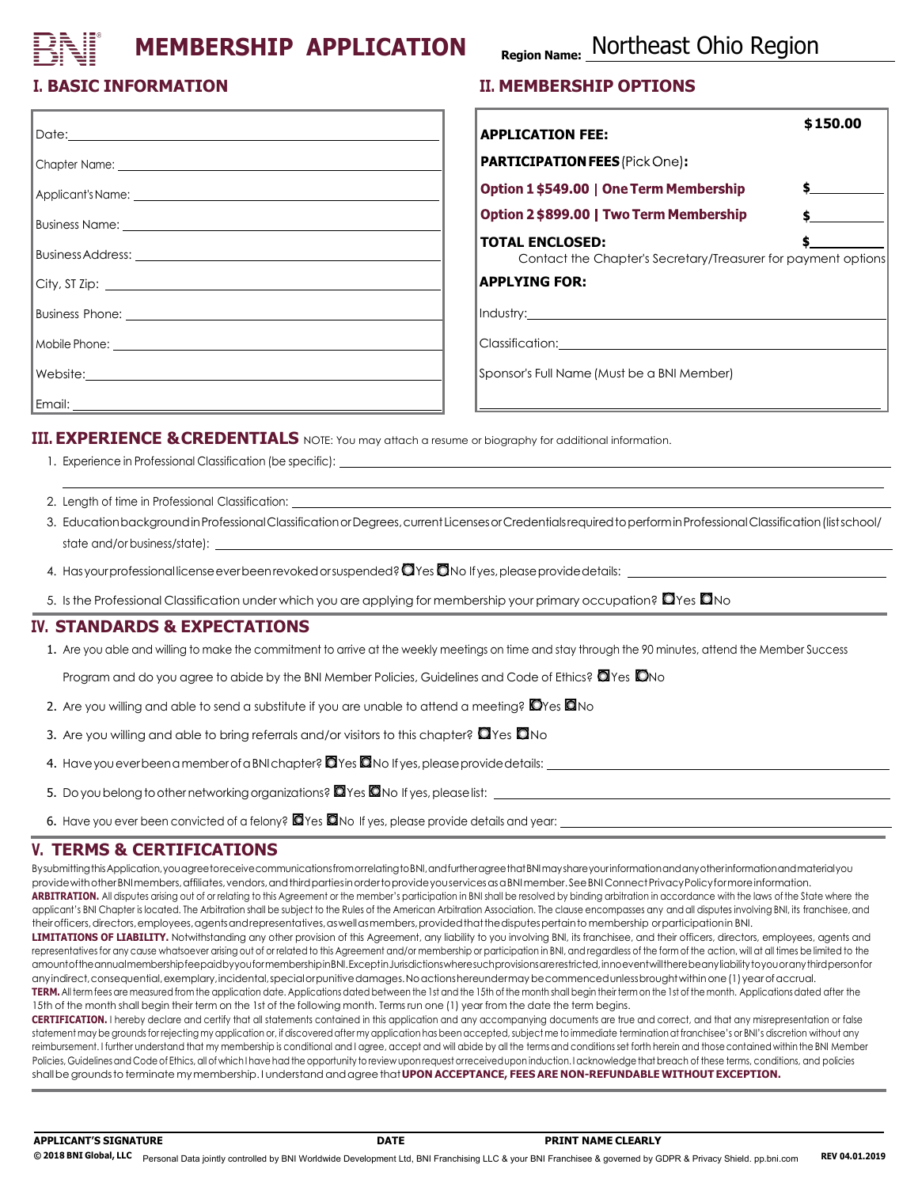# **MEMBERSHIP APPLICATION**

# **Region Name:** Northeast Ohio Region

## **I. BASIC INFORMATION**

| Date: 2000                                                                                                           |
|----------------------------------------------------------------------------------------------------------------------|
|                                                                                                                      |
|                                                                                                                      |
| Business Name: 2008 and 2008 and 2008 and 2008 and 2008 and 2008 and 2008 and 2008 and 2008 and 200                  |
|                                                                                                                      |
| $City, ST Zip: \underline{\qquad}$                                                                                   |
|                                                                                                                      |
|                                                                                                                      |
| Website: <u>2000 - 2000 - 2000 - 2000 - 2000 - 2000 - 2000 - 2000 - 2000 - 2000 - 2000 - 2000 - 2000 - 2000 - 20</u> |
|                                                                                                                      |

#### **II. MEMBERSHIP OPTIONS**

| <b>APPLICATION FEE:</b>                                                                 | \$150.00 |
|-----------------------------------------------------------------------------------------|----------|
|                                                                                         |          |
| PARTICIPATION FEES (Pick One):                                                          |          |
| <b>Option 1 \$549.00   One Term Membership</b>                                          |          |
| Option 2 \$899.00   Two Term Membership                                                 |          |
| <b>TOTAL ENCLOSED:</b><br>Contact the Chapter's Secretary/Treasurer for payment options |          |
| <b>APPLYING FOR:</b>                                                                    |          |
|                                                                                         |          |
| Classification:                                                                         |          |

Sponsor's Full Name(Must be a BNI Member)

**III. EXPERIENCE &CREDENTIALS** NOTE: You may attach a resume or biography for additional information.

- 1. Experience in Professional Classification (be specific):
- 2. Length of time in Professional Classification:
- 3. Education background in Professional Classification or Degrees, current Licenses or Credentials required to perform in Professional Classification (list school/ state and/or business/state): \_\_\_
- 4. Has your professional license ever been revoked or suspended?  $\Box$  Yes  $\Box$  No If yes, please provide details:
- 5. Is the Professional Classification under which you are applying for membership your primary occupation?  $\Box$  Yes  $\Box$  No

#### **IV. STANDARDS & EXPECTATIONS**

1. Are you able and willing to make the commitment to arrive at the weekly meetings on time and stay through the 90 minutes, attend the Member Success

Program and do you agree to abide by the BNI Member Policies, Guidelines and Code of Ethics?  $\Box$  Yes  $\Box$  No

- 2. Are you willing and able to send a substitute if you are unable to attend a meeting?  $\Box$  Yes  $\Box$  No
- 3. Are you willing and able to bring referrals and/or visitors to this chapter?  $\Box$  Yes  $\Box$  No
- 4. Have you ever been a member of a BNI chapter?  $\Box$  Yes  $\Box$  No If yes, please provide details:
- 5. Do you belong to other networking organizations? <sup>2</sup> Yes <sup>0</sup>No If yes, please list:
- 6. Have you ever been convicted of a felony?  $\Box$  Yes  $\Box$  No If yes, please provide details and year:

#### **V. TERMS & CERTIFICATIONS**

BysubmittingthisApplication,youagreetoreceivecommunicationsfromorrelatingtoBNI,andfurtheragreethatBNImayshareyourinformationandanyotherinformationandmaterialyou providewithotherBNImembers, affiliates, vendors, and third parties in orderto provide you services as a BNI member. See BNI Connect Privacy Policy for more information. ARBITRATION. All disputes arising out of or relating to this Agreement or the member's participation in BNI shall be resolved by binding arbitration in accordance with the laws of the State where the applicant's BNI Chapter is located. The Arbitration shall be subject to the Rules of the American Arbitration Association. The clause encompasses any and all disputes involving BNI, its franchisee, and theirofficers, directors, employees, agents and representatives, as well as members, provided that the disputes pertainto membership or participation in BNI.

LIMITATIONS OF LIABILITY. Notwithstanding any other provision of this Agreement, any liability to you involving BNI, its franchisee, and their officers, directors, employees, agents and representatives for any cause whatsoever arising out of or related to this Agreement and/or membership or participation in BNI, and regardless of the form of the action, will at all times be limited to the amountoftheannualmembershipfeepaidbyyouformembershipinBNI.ExceptinJurisdictionswheresuchprovisionsarerestricted,innoeventwilltherebeanyliabilitytoyouoranythirdpersonfor anyindirect,consequential,exemplary,incidental,specialorpunitivedamages.Noactionshereundermaybecommencedunlessbroughtwithinone(1)yearofaccrual. **TERM.** All term fees are measured from the application date. Applications dated between the 1st and the 15th of the month shall begin their term on the 1st of the month. Applicationsdated after the

15th of the month shall begin their term on the 1st of the following month. Terms run one (1) year from the date the term begins.

**CERTIFICATION.** I hereby declare and certify that all statements contained in this application and any accompanying documents are true and correct, and that any misrepresentation or false statement may be grounds for rejecting my application or, if discovered after my application has been accepted, subject me to immediate termination at franchisee's or BNI's discretion without any reimbursement. I further understand that my membership is conditional and I agree, accept and will abide by all the terms and conditions set forth herein and those contained within the BNI Member Policies, Guidelines and Code of Ethics, all of which I have had the opportunity to review upon request orreceived upon induction. I acknowledge that breach of these terms, conditions, and policies shallbe grounds to terminate mymembership. I understand andagreethat**UPON ACCEPTANCE, FEES ARE NON-REFUNDABLE WITHOUT EXCEPTION.**